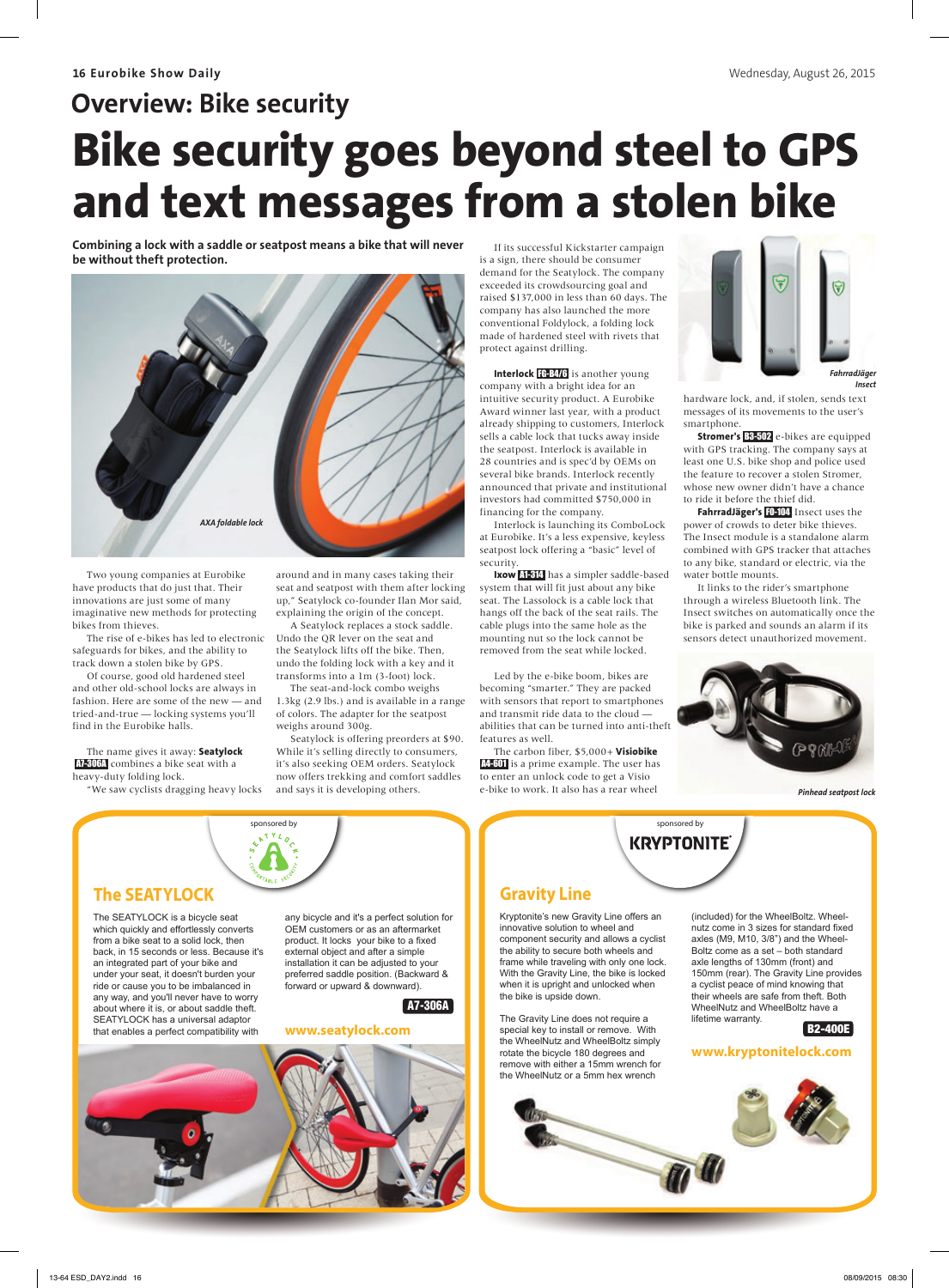# **Overview: Bike security Bike security goes beyond steel to GPS and text messages from a stolen bike**

Combining a lock with a saddle or seatpost means a bike that will never be without theft protection.



Two young companies at Eurobike have products that do just that. Their innovations are just some of many imaginative new methods for protecting bikes from thieves.

The rise of e-bikes has led to electronic safeguards for bikes, and the ability to track down a stolen bike by GPS.

Of course, good old hardened steel and other old-school locks are always in fashion. Here are some of the new — and tried-and-true — locking systems you'll find in the Eurobike halls.

The name gives it away: **Seatylock**  A7-306A combines a bike seat with a heavy-duty folding lock.

"We saw cyclists dragging heavy locks

around and in many cases taking their seat and seatpost with them after locking up," Seatylock co-founder Ilan Mor said, explaining the origin of the concept.

A Seatylock replaces a stock saddle. Undo the QR lever on the seat and the Seatylock lifts off the bike. Then, undo the folding lock with a key and it transforms into a 1m (3-foot) lock.

The seat-and-lock combo weighs 1.3kg (2.9 lbs.) and is available in a range

of colors. The adapter for the seatpost weighs around 300g. Seatylock is offering preorders at \$90.

While it's selling directly to consumers, it's also seeking OEM orders. Seatylock now offers trekking and comfort saddles and says it is developing others.

If its successful Kickstarter campaign is a sign, there should be consumer demand for the Seatylock. The company exceeded its crowdsourcing goal and raised \$137,000 in less than 60 days. The company has also launched the more conventional Foldylock, a folding lock made of hardened steel with rivets that protect against drilling.

**Interlock** FG-B4/6 is another young company with a bright idea for an intuitive security product. A Eurobike Award winner last year, with a product already shipping to customers, Interlock sells a cable lock that tucks away inside the seatpost. Interlock is available in 28 countries and is spec'd by OEMs on several bike brands. Interlock recently announced that private and institutional investors had committed \$750,000 in financing for the company.

Interlock is launching its ComboLock at Eurobike. It's a less expensive, keyless seatpost lock offering a "basic" level of security

**Ixow** A1-314 has a simpler saddle-based system that will fit just about any bike seat. The Lassolock is a cable lock that hangs off the back of the seat rails. The cable plugs into the same hole as the mounting nut so the lock cannot be removed from the seat while locked.

Led by the e-bike boom, bikes are becoming "smarter." They are packed with sensors that report to smartphones and transmit ride data to the cloud abilities that can be turned into anti-theft features as well.

The carbon fiber, \$5,000+ **Visiobike A4-601** is a prime example. The user has to enter an unlock code to get a Visio e-bike to work. It also has a rear wheel



*Insect*

hardware lock, and, if stolen, sends text messages of its movements to the user's smartphone.

**Stromer's B-502** e-bikes are equipped with GPS tracking. The company says at least one U.S. bike shop and police used the feature to recover a stolen Stromer, whose new owner didn't have a chance to ride it before the thief did.

**FahrradJäger's** FO-104 Insect uses the power of crowds to deter bike thieves. The Insect module is a standalone alarm combined with GPS tracker that attaches to any bike, standard or electric, via the water bottle mounts.

It links to the rider's smartphone through a wireless Bluetooth link. The Insect switches on automatically once the bike is parked and sounds an alarm if its sensors detect unauthorized movement.



sponsored by

**KRYPTONITE** 

*Pinhead seatpost lock*



#### The SEATYLOCK is a bicycle seat which quickly and effortlessly converts from a bike seat to a solid lock, then back, in 15 seconds or less. Because it's an integrated part of your bike and under your seat, it doesn't burden your ride or cause you to be imbalanced in any way, and you'll never have to worry about where it is, or about saddle theft. SEATYLOCK has a universal adaptor that enables a perfect compatibility with

any bicycle and it's a perfect solution for OEM customers or as an aftermarket product. It locks your bike to a fixed .<br>external object and after a simple installation it can be adjusted to your preferred saddle position. (Backward & forward or upward & downward).

A7-306A

**www.seatylock.com**



sponsored by

**Gravity Line** 

Kryptonite's new Gravity Line offers an innovative solution to wheel and component security and allows a cyclist the ability to secure both wheels and frame while traveling with only one lock. With the Gravity Line, the bike is locked when it is upright and unlocked when the bike is upside down.

The Gravity Line does not require a special key to install or remove. With the WheelNutz and WheelBoltz simply rotate the bicycle 180 degrees and remove with either a 15mm wrench for the WheelNutz or a 5mm hex wrench

#### (included) for the WheelBoltz. Wheelnutz come in 3 sizes for standard fixed axles (M9, M10, 3/8") and the Wheel-Boltz come as a set – both standard axle lengths of 130mm (front) and 150mm (rear). The Gravity Line provides a cyclist peace of mind knowing that their wheels are safe from theft. Both WheelNutz and WheelBoltz have a lifetime warranty.

### B2-400E

## **www.kryptonitelock.com**